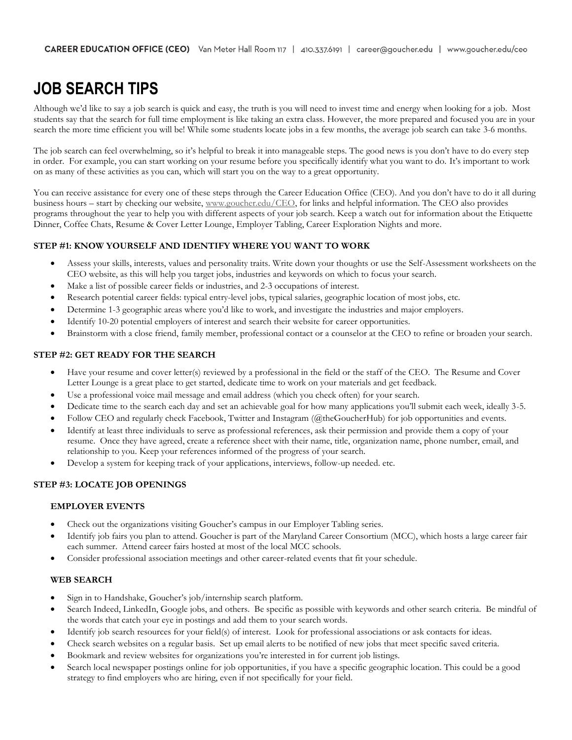# **JOB SEARCH TIPS**

Although we'd like to say a job search is quick and easy, the truth is you will need to invest time and energy when looking for a job. Most students say that the search for full time employment is like taking an extra class. However, the more prepared and focused you are in your search the more time efficient you will be! While some students locate jobs in a few months, the average job search can take 3-6 months.

The job search can feel overwhelming, so it's helpful to break it into manageable steps. The good news is you don't have to do every step in order. For example, you can start working on your resume before you specifically identify what you want to do. It's important to work on as many of these activities as you can, which will start you on the way to a great opportunity.

You can receive assistance for every one of these steps through the Career Education Office (CEO). And you don't have to do it all during business hours – start by checking our website, [www.goucher.edu/CEO,](http://www.goucher.edu/cdo) for links and helpful information. The CEO also provides programs throughout the year to help you with different aspects of your job search. Keep a watch out for information about the Etiquette Dinner, Coffee Chats, Resume & Cover Letter Lounge, Employer Tabling, Career Exploration Nights and more.

# **STEP #1: KNOW YOURSELF AND IDENTIFY WHERE YOU WANT TO WORK**

- Assess your skills, interests, values and personality traits. Write down your thoughts or use the Self-Assessment worksheets on the CEO website, as this will help you target jobs, industries and keywords on which to focus your search.
- Make a list of possible career fields or industries, and 2-3 occupations of interest.
- Research potential career fields: typical entry-level jobs, typical salaries, geographic location of most jobs, etc.
- Determine 1-3 geographic areas where you'd like to work, and investigate the industries and major employers.
- Identify 10-20 potential employers of interest and search their website for career opportunities.
- Brainstorm with a close friend, family member, professional contact or a counselor at the CEO to refine or broaden your search.

# **STEP #2: GET READY FOR THE SEARCH**

- Have your resume and cover letter(s) reviewed by a professional in the field or the staff of the CEO. The Resume and Cover Letter Lounge is a great place to get started, dedicate time to work on your materials and get feedback.
- Use a professional voice mail message and email address (which you check often) for your search.
- Dedicate time to the search each day and set an achievable goal for how many applications you'll submit each week, ideally 3-5.
- Follow CEO and regularly check Facebook, Twitter and Instagram (@theGoucherHub) for job opportunities and events.
- Identify at least three individuals to serve as professional references, ask their permission and provide them a copy of your resume. Once they have agreed, create a reference sheet with their name, title, organization name, phone number, email, and relationship to you. Keep your references informed of the progress of your search.
- Develop a system for keeping track of your applications, interviews, follow-up needed. etc.

# **STEP #3: LOCATE JOB OPENINGS**

# **EMPLOYER EVENTS**

- Check out the organizations visiting Goucher's campus in our Employer Tabling series.
- Identify job fairs you plan to attend. Goucher is part of the Maryland Career Consortium (MCC), which hosts a large career fair each summer. Attend career fairs hosted at most of the local MCC schools.
- Consider professional association meetings and other career-related events that fit your schedule.

# **WEB SEARCH**

- Sign in to Handshake, Goucher's job/internship search platform.
- Search Indeed, LinkedIn, Google jobs, and others. Be specific as possible with keywords and other search criteria. Be mindful of the words that catch your eye in postings and add them to your search words.
- Identify job search resources for your field(s) of interest. Look for professional associations or ask contacts for ideas.
- Check search websites on a regular basis. Set up email alerts to be notified of new jobs that meet specific saved criteria.
- Bookmark and review websites for organizations you're interested in for current job listings.
- Search local newspaper postings online for job opportunities, if you have a specific geographic location. This could be a good strategy to find employers who are hiring, even if not specifically for your field.